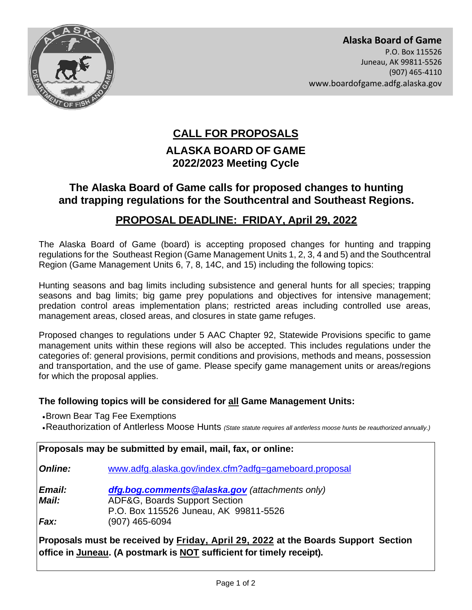

## **ALASKA BOARD OF GAME CALL FOR PROPOSALS 2022/2023 Meeting Cycle**

## **The Alaska Board of Game calls for proposed changes to hunting and trapping regulations for the Southcentral and Southeast Regions.**

## **PROPOSAL DEADLINE: FRIDAY, April 29, 2022**

The Alaska Board of Game (board) is accepting proposed changes for hunting and trapping regulations for the Southeast Region (Game Management Units 1, 2, 3, 4 and 5) and the Southcentral Region (Game Management Units 6, 7, 8, 14C, and 15) including the following topics:

 predation control areas implementation plans; restricted areas including controlled use areas, Hunting seasons and bag limits including subsistence and general hunts for all species; trapping seasons and bag limits; big game prey populations and objectives for intensive management; management areas, closed areas, and closures in state game refuges.

 management units within these regions will also be accepted. This includes regulations under the categories of: general provisions, permit conditions and provisions, methods and means, possession and transportation, and the use of game. Please specify game management units or areas/regions Proposed changes to regulations under 5 AAC Chapter 92, Statewide Provisions specific to game for which the proposal applies.

## **The following topics will be considered for all Game Management Units:**

•Brown Bear Tag Fee Exemptions

•Reauthorization of Antlerless Moose Hunts *(State statute requires all antlerless moose hunts be reauthorized annually.)*

| Proposals may be submitted by email, mail, fax, or online:                         |                                                                                                                          |
|------------------------------------------------------------------------------------|--------------------------------------------------------------------------------------------------------------------------|
| <b>Online:</b>                                                                     | www.adfg.alaska.gov/index.cfm?adfg=gameboard.proposal                                                                    |
| Email:<br>Mail:                                                                    | dfg.bog.comments@alaska.gov (attachments only)<br>ADF&G, Boards Support Section<br>P.O. Box 115526 Juneau, AK 99811-5526 |
| Fax:                                                                               | (907) 465-6094                                                                                                           |
| Proposals must be received by Friday, April 29, 2022 at the Boards Support Section |                                                                                                                          |

 **office in Juneau. (A postmark is NOT sufficient for timely receipt).**